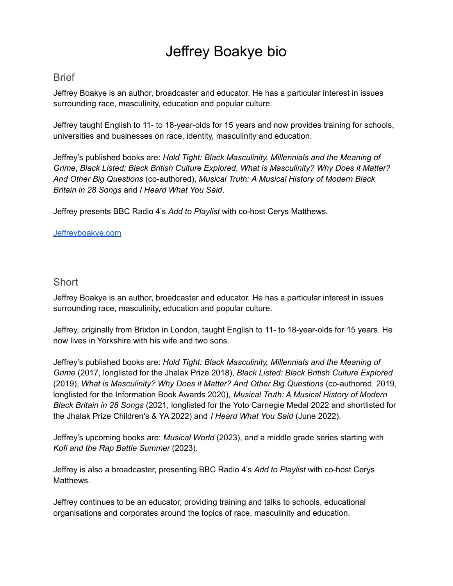# Jeffrey Boakye bio

## **Brief**

Jeffrey Boakye is an author, broadcaster and educator. He has a particular interest in issues surrounding race, masculinity, education and popular culture.

Jeffrey taught English to 11- to 18-year-olds for 15 years and now provides training for schools, universities and businesses on race, identity, masculinity and education.

Jeffrey's published books are: *Hold Tight: Black Masculinity, Millennials and the Meaning of Grime*, *Black Listed: Black British Culture Explored*, *What is Masculinity? Why Does it Matter? And Other Big Questions* (co-authored), *Musical Truth: A Musical History of Modern Black Britain in 28 Songs* and *I Heard What You Said*.

Jeffrey presents BBC Radio 4's *Add to Playlist* with co-host Cerys Matthews.

#### [Jeffreyboakye.com](https://www.jeffreyboakye.com/)

### **Short**

Jeffrey Boakye is an author, broadcaster and educator. He has a particular interest in issues surrounding race, masculinity, education and popular culture.

Jeffrey, originally from Brixton in London, taught English to 11- to 18-year-olds for 15 years. He now lives in Yorkshire with his wife and two sons.

Jeffrey's published books are: *Hold Tight: Black Masculinity, Millennials and the Meaning of Grime* (2017, longlisted for the Jhalak Prize 2018), *Black Listed: Black British Culture Explored* (2019), *What is Masculinity? Why Does it Matter? And Other Big Questions* (co-authored, 2019, longlisted for the Information Book Awards 2020), *Musical Truth: A Musical History of Modern Black Britain in 28 Songs* (2021, longlisted for the Yoto Carnegie Medal 2022 and shortlisted for the Jhalak Prize Children's & YA 2022) and *I Heard What You Said* (June 2022).

Jeffrey's upcoming books are: *Musical World* (2023), and a middle grade series starting with *Kofi and the Rap Battle Summer* (2023).

Jeffrey is also a broadcaster, presenting BBC Radio 4's *Add to Playlist* with co-host Cerys Matthews.

Jeffrey continues to be an educator, providing training and talks to schools, educational organisations and corporates around the topics of race, masculinity and education.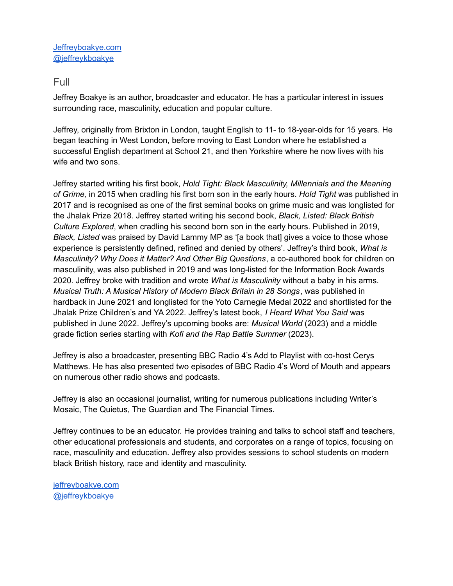[Jeffreyboakye.com](https://www.jeffreyboakye.com/) [@jeffreykboakye](https://twitter.com/jeffreykboakye)

## Full

Jeffrey Boakye is an author, broadcaster and educator. He has a particular interest in issues surrounding race, masculinity, education and popular culture.

Jeffrey, originally from Brixton in London, taught English to 11- to 18-year-olds for 15 years. He began teaching in West London, before moving to East London where he established a successful English department at School 21, and then Yorkshire where he now lives with his wife and two sons.

Jeffrey started writing his first book, *Hold Tight: Black Masculinity, Millennials and the Meaning of Grime,* in 2015 when cradling his first born son in the early hours. *Hold Tight* was published in 2017 and is recognised as one of the first seminal books on grime music and was longlisted for the Jhalak Prize 2018. Jeffrey started writing his second book, *Black, Listed: Black British Culture Explored*, when cradling his second born son in the early hours. Published in 2019, *Black, Listed* was praised by David Lammy MP as '[a book that] gives a voice to those whose experience is persistently defined, refined and denied by others'. Jeffrey's third book, *What is Masculinity? Why Does it Matter? And Other Big Questions*, a co-authored book for children on masculinity, was also published in 2019 and was long-listed for the Information Book Awards 2020. Jeffrey broke with tradition and wrote *What is Masculinity* without a baby in his arms. *Musical Truth: A Musical History of Modern Black Britain in 28 Songs*, was published in hardback in June 2021 and longlisted for the Yoto Carnegie Medal 2022 and shortlisted for the Jhalak Prize Children's and YA 2022. Jeffrey's latest book, *I Heard What You Said* was published in June 2022. Jeffrey's upcoming books are: *Musical World* (2023) and a middle grade fiction series starting with *Kofi and the Rap Battle Summer* (2023).

Jeffrey is also a broadcaster, presenting BBC Radio 4's Add to Playlist with co-host Cerys Matthews. He has also presented two episodes of BBC Radio 4's Word of Mouth and appears on numerous other radio shows and podcasts.

Jeffrey is also an occasional journalist, writing for numerous publications including Writer's Mosaic, The Quietus, The Guardian and The Financial Times.

Jeffrey continues to be an educator. He provides training and talks to school staff and teachers, other educational professionals and students, and corporates on a range of topics, focusing on race, masculinity and education. Jeffrey also provides sessions to school students on modern black British history, race and identity and masculinity.

[jeffreyboakye.com](https://www.jeffreyboakye.com/) [@jeffreykboakye](https://twitter.com/jeffreykboakye)